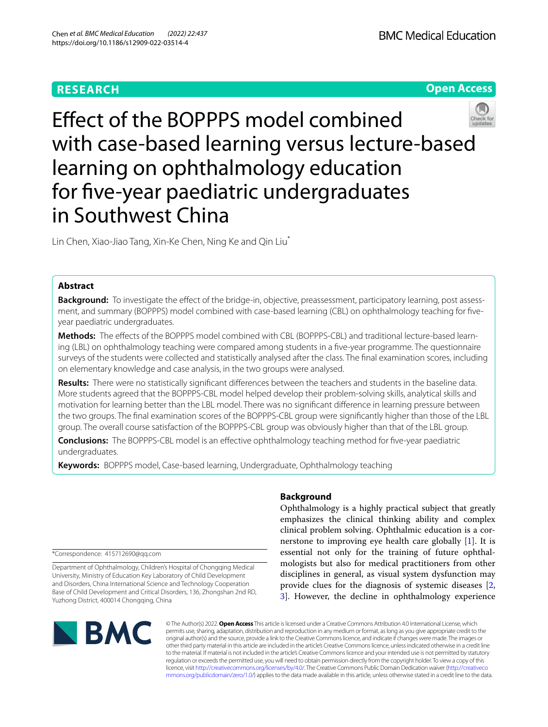# **RESEARCH**

**BMC Medical Education** 



Efect of the BOPPPS model combined with case-based learning versus lecture-based learning on ophthalmology education for fve-year paediatric undergraduates in Southwest China

Lin Chen, Xiao-Jiao Tang, Xin-Ke Chen, Ning Ke and Qin Liu<sup>\*</sup>

## **Abstract**

Background: To investigate the effect of the bridge-in, objective, preassessment, participatory learning, post assessment, and summary (BOPPPS) model combined with case-based learning (CBL) on ophthalmology teaching for fveyear paediatric undergraduates.

Methods: The effects of the BOPPPS model combined with CBL (BOPPPS-CBL) and traditional lecture-based learning (LBL) on ophthalmology teaching were compared among students in a fve-year programme. The questionnaire surveys of the students were collected and statistically analysed after the class. The fnal examination scores, including on elementary knowledge and case analysis, in the two groups were analysed.

**Results:** There were no statistically signifcant diferences between the teachers and students in the baseline data. More students agreed that the BOPPPS-CBL model helped develop their problem-solving skills, analytical skills and motivation for learning better than the LBL model. There was no signifcant diference in learning pressure between the two groups. The fnal examination scores of the BOPPPS-CBL group were signifcantly higher than those of the LBL group. The overall course satisfaction of the BOPPPS-CBL group was obviously higher than that of the LBL group.

**Conclusions:** The BOPPPS-CBL model is an efective ophthalmology teaching method for fve-year paediatric undergraduates.

**Keywords:** BOPPPS model, Case-based learning, Undergraduate, Ophthalmology teaching

\*Correspondence: 415712690@qq.com

Department of Ophthalmology, Children's Hospital of Chongqing Medical University, Ministry of Education Key Laboratory of Child Development and Disorders, China International Science and Technology Cooperation Base of Child Development and Critical Disorders, 136, Zhongshan 2nd RD, Yuzhong District, 400014 Chongqing, China

## **Background**

Ophthalmology is a highly practical subject that greatly emphasizes the clinical thinking ability and complex clinical problem solving. Ophthalmic education is a cornerstone to improving eye health care globally [\[1\]](#page-6-0). It is essential not only for the training of future ophthalmologists but also for medical practitioners from other disciplines in general, as visual system dysfunction may provide clues for the diagnosis of systemic diseases [\[2](#page-6-1), [3\]](#page-6-2). However, the decline in ophthalmology experience



© The Author(s) 2022. **Open Access** This article is licensed under a Creative Commons Attribution 4.0 International License, which permits use, sharing, adaptation, distribution and reproduction in any medium or format, as long as you give appropriate credit to the original author(s) and the source, provide a link to the Creative Commons licence, and indicate if changes were made. The images or other third party material in this article are included in the article's Creative Commons licence, unless indicated otherwise in a credit line to the material. If material is not included in the article's Creative Commons licence and your intended use is not permitted by statutory regulation or exceeds the permitted use, you will need to obtain permission directly from the copyright holder. To view a copy of this licence, visit [http://creativecommons.org/licenses/by/4.0/.](http://creativecommons.org/licenses/by/4.0/) The Creative Commons Public Domain Dedication waiver ([http://creativeco](http://creativecommons.org/publicdomain/zero/1.0/) [mmons.org/publicdomain/zero/1.0/](http://creativecommons.org/publicdomain/zero/1.0/)) applies to the data made available in this article, unless otherwise stated in a credit line to the data.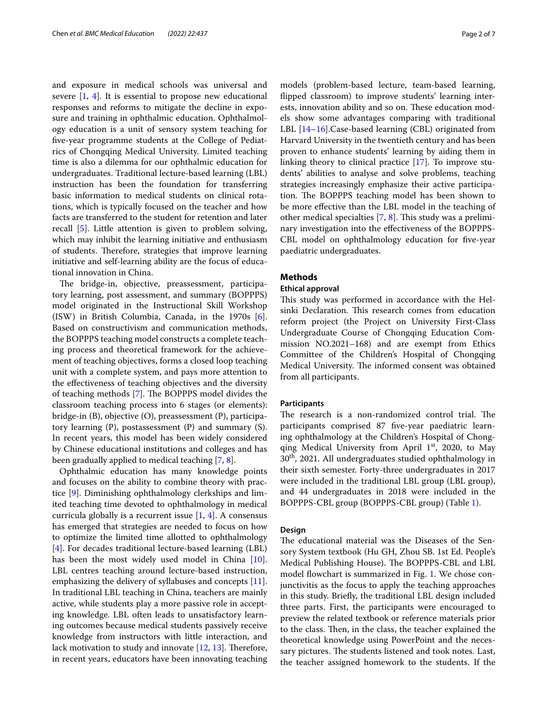and exposure in medical schools was universal and severe [\[1](#page-6-0), [4](#page-6-3)]. It is essential to propose new educational responses and reforms to mitigate the decline in exposure and training in ophthalmic education. Ophthalmology education is a unit of sensory system teaching for fve-year programme students at the College of Pediatrics of Chongqing Medical University. Limited teaching time is also a dilemma for our ophthalmic education for undergraduates. Traditional lecture-based learning (LBL) instruction has been the foundation for transferring basic information to medical students on clinical rotations, which is typically focused on the teacher and how facts are transferred to the student for retention and later recall [[5\]](#page-6-4). Little attention is given to problem solving, which may inhibit the learning initiative and enthusiasm of students. Therefore, strategies that improve learning initiative and self-learning ability are the focus of educational innovation in China.

The bridge-in, objective, preassessment, participatory learning, post assessment, and summary (BOPPPS) model originated in the Instructional Skill Workshop (ISW) in British Columbia, Canada, in the 1970s [\[6](#page-6-5)]. Based on constructivism and communication methods, the BOPPPS teaching model constructs a complete teaching process and theoretical framework for the achievement of teaching objectives, forms a closed loop teaching unit with a complete system, and pays more attention to the efectiveness of teaching objectives and the diversity of teaching methods  $[7]$  $[7]$ . The BOPPPS model divides the classroom teaching process into 6 stages (or elements): bridge-in (B), objective (O), preassessment (P), participatory learning (P), postassessment (P) and summary (S). In recent years, this model has been widely considered by Chinese educational institutions and colleges and has been gradually applied to medical teaching [[7](#page-6-6), [8\]](#page-6-7).

Ophthalmic education has many knowledge points and focuses on the ability to combine theory with practice [[9\]](#page-6-8). Diminishing ophthalmology clerkships and limited teaching time devoted to ophthalmology in medical curricula globally is a recurrent issue [[1,](#page-6-0) [4\]](#page-6-3). A consensus has emerged that strategies are needed to focus on how to optimize the limited time allotted to ophthalmology [[4\]](#page-6-3). For decades traditional lecture-based learning (LBL) has been the most widely used model in China [\[10](#page-6-9)]. LBL centres teaching around lecture-based instruction, emphasizing the delivery of syllabuses and concepts [\[11](#page-6-10)]. In traditional LBL teaching in China, teachers are mainly active, while students play a more passive role in accepting knowledge. LBL often leads to unsatisfactory learning outcomes because medical students passively receive knowledge from instructors with little interaction, and lack motivation to study and innovate  $[12, 13]$  $[12, 13]$  $[12, 13]$ . Therefore, in recent years, educators have been innovating teaching models (problem-based lecture, team-based learning, fipped classroom) to improve students' learning interests, innovation ability and so on. These education models show some advantages comparing with traditional LBL [\[14–](#page-6-13)[16\]](#page-6-14).Case-based learning (CBL) originated from Harvard University in the twentieth century and has been proven to enhance students' learning by aiding them in linking theory to clinical practice [[17\]](#page-6-15). To improve students' abilities to analyse and solve problems, teaching strategies increasingly emphasize their active participation. The BOPPPS teaching model has been shown to be more efective than the LBL model in the teaching of other medical specialties  $[7, 8]$  $[7, 8]$  $[7, 8]$  $[7, 8]$ . This study was a preliminary investigation into the efectiveness of the BOPPPS-CBL model on ophthalmology education for fve-year paediatric undergraduates.

### **Methods**

### **Ethical approval**

This study was performed in accordance with the Helsinki Declaration. This research comes from education reform project (the Project on University First-Class Undergraduate Course of Chongqing Education Commission NO.2021–168) and are exempt from Ethics Committee of the Children's Hospital of Chongqing Medical University. The informed consent was obtained from all participants.

### **Participants**

The research is a non-randomized control trial. The participants comprised 87 fve-year paediatric learning ophthalmology at the Children's Hospital of Chongqing Medical University from April  $1<sup>st</sup>$ , 2020, to May 30th, 2021. All undergraduates studied ophthalmology in their sixth semester. Forty-three undergraduates in 2017 were included in the traditional LBL group (LBL group), and 44 undergraduates in 2018 were included in the BOPPPS-CBL group (BOPPPS-CBL group) (Table [1](#page-2-0)).

### **Design**

The educational material was the Diseases of the Sensory System textbook (Hu GH, Zhou SB. 1st Ed. People's Medical Publishing House). The BOPPPS-CBL and LBL model flowchart is summarized in Fig. [1.](#page-2-1) We chose conjunctivitis as the focus to apply the teaching approaches in this study. Briefy, the traditional LBL design included three parts. First, the participants were encouraged to preview the related textbook or reference materials prior to the class. Then, in the class, the teacher explained the theoretical knowledge using PowerPoint and the necessary pictures. The students listened and took notes. Last, the teacher assigned homework to the students. If the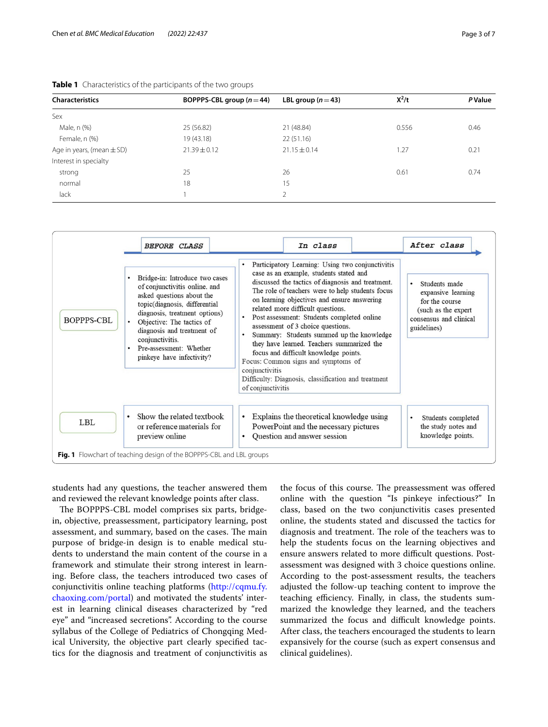| <b>Characteristics</b>        | BOPPPS-CBL group $(n=44)$ | LBL group $(n=43)$ | $X^2/t$ | <b>P</b> Value |
|-------------------------------|---------------------------|--------------------|---------|----------------|
| Sex                           |                           |                    |         |                |
| Male, n (%)                   | 25 (56.82)                | 21 (48.84)         | 0.556   | 0.46           |
| Female, n (%)                 | 19 (43.18)                | 22(51.16)          |         |                |
| Age in years, (mean $\pm$ SD) | $21.39 \pm 0.12$          | $21.15 \pm 0.14$   | .27     | 0.21           |
| Interest in specialty         |                           |                    |         |                |
| strong                        | 25                        | 26                 | 0.61    | 0.74           |
| normal                        | 18                        | 15                 |         |                |
| lack                          |                           | C,                 |         |                |

<span id="page-2-0"></span>

| Table 1 Characteristics of the participants of the two groups |  |
|---------------------------------------------------------------|--|
|---------------------------------------------------------------|--|

|            | <b>BEFORE CLASS</b>                                                                                                                                                                                                                                                                                                                         |                        | In class                                                                                                                                                                                                                                                                                                                                                                                                                                                                                                                                                                                                                                             |  | After class                                                                                                            |  |
|------------|---------------------------------------------------------------------------------------------------------------------------------------------------------------------------------------------------------------------------------------------------------------------------------------------------------------------------------------------|------------------------|------------------------------------------------------------------------------------------------------------------------------------------------------------------------------------------------------------------------------------------------------------------------------------------------------------------------------------------------------------------------------------------------------------------------------------------------------------------------------------------------------------------------------------------------------------------------------------------------------------------------------------------------------|--|------------------------------------------------------------------------------------------------------------------------|--|
| BOPPPS-CBL | Bridge-in: Introduce two cases<br>$\bullet$<br>of conjunctivitis online, and<br>asked questions about the<br>topic(diagnosis, differential<br>diagnosis, treatment options)<br>$\bullet$<br>Objective: The tactics of<br>diagnosis and treatment of<br>$\bullet$<br>conjunctivitis.<br>Pre-assessment: Whether<br>pinkeye have infectivity? |                        | Participatory Learning: Using two conjunctivitis<br>case as an example, students stated and<br>discussed the tactics of diagnosis and treatment.<br>The role of teachers were to help students focus<br>on learning objectives and ensure answering<br>related more difficult questions.<br>Post assessment: Students completed online<br>assessment of 3 choice questions.<br>Summary: Students summed up the knowledge<br>they have learned. Teachers summarized the<br>focus and difficult knowledge points.<br>Focus: Common signs and symptoms of<br>conjunctivitis<br>Difficulty: Diagnosis, classification and treatment<br>of conjunctivitis |  | Students made<br>expansive learning<br>for the course<br>(such as the expert)<br>consensus and clinical<br>guidelines) |  |
| LBL        | Show the related textbook<br>$\bullet$<br>or reference materials for<br>preview online                                                                                                                                                                                                                                                      | $\bullet$<br>$\bullet$ | Explains the theoretical knowledge using<br>PowerPoint and the necessary pictures<br>Question and answer session                                                                                                                                                                                                                                                                                                                                                                                                                                                                                                                                     |  | Students completed<br>the study notes and<br>knowledge points.                                                         |  |
|            | Fig. 1 Flowchart of teaching design of the BOPPPS-CBL and LBL groups                                                                                                                                                                                                                                                                        |                        |                                                                                                                                                                                                                                                                                                                                                                                                                                                                                                                                                                                                                                                      |  |                                                                                                                        |  |

<span id="page-2-1"></span>students had any questions, the teacher answered them and reviewed the relevant knowledge points after class.

The BOPPPS-CBL model comprises six parts, bridgein, objective, preassessment, participatory learning, post assessment, and summary, based on the cases. The main purpose of bridge-in design is to enable medical students to understand the main content of the course in a framework and stimulate their strong interest in learning. Before class, the teachers introduced two cases of conjunctivitis online teaching platforms [\(http://cqmu.fy.](http://cqmu.fy.chaoxing.com/portal) [chaoxing.com/portal](http://cqmu.fy.chaoxing.com/portal)) and motivated the students' interest in learning clinical diseases characterized by "red eye" and "increased secretions". According to the course syllabus of the College of Pediatrics of Chongqing Medical University, the objective part clearly specifed tactics for the diagnosis and treatment of conjunctivitis as

the focus of this course. The preassessment was offered online with the question "Is pinkeye infectious?" In class, based on the two conjunctivitis cases presented online, the students stated and discussed the tactics for diagnosis and treatment. The role of the teachers was to help the students focus on the learning objectives and ensure answers related to more difficult questions. Postassessment was designed with 3 choice questions online. According to the post-assessment results, the teachers adjusted the follow-up teaching content to improve the teaching efficiency. Finally, in class, the students summarized the knowledge they learned, and the teachers summarized the focus and difficult knowledge points. After class, the teachers encouraged the students to learn expansively for the course (such as expert consensus and clinical guidelines).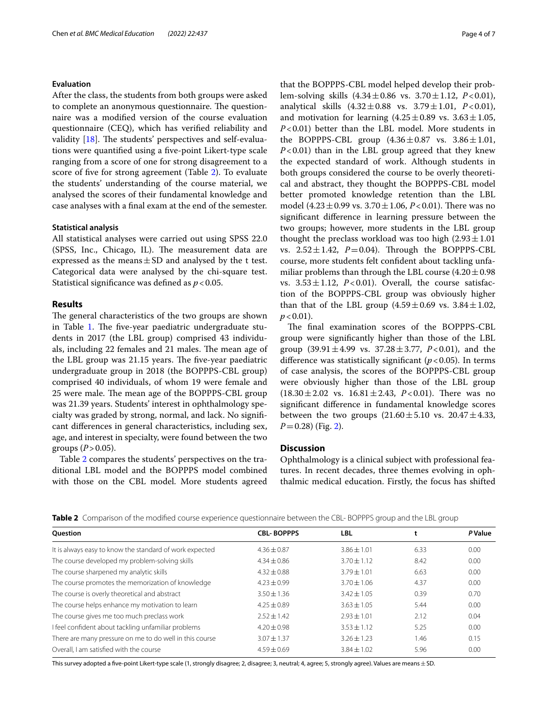### **Evaluation**

After the class, the students from both groups were asked to complete an anonymous questionnaire. The questionnaire was a modifed version of the course evaluation questionnaire (CEQ), which has verifed reliability and validity  $[18]$  $[18]$ . The students' perspectives and self-evaluations were quantifed using a fve-point Likert-type scale ranging from a score of one for strong disagreement to a score of fve for strong agreement (Table [2](#page-3-0)). To evaluate the students' understanding of the course material, we analysed the scores of their fundamental knowledge and case analyses with a fnal exam at the end of the semester.

### **Statistical analysis**

All statistical analyses were carried out using SPSS 22.0 (SPSS, Inc., Chicago, IL). The measurement data are expressed as the means  $\pm$  SD and analysed by the t test. Categorical data were analysed by the chi-square test. Statistical significance was defined as  $p < 0.05$ .

### **Results**

The general characteristics of the two groups are shown in Table [1](#page-2-0). The five-year paediatric undergraduate students in 2017 (the LBL group) comprised 43 individuals, including 22 females and 21 males. The mean age of the LBL group was 21.15 years. The five-year paediatric undergraduate group in 2018 (the BOPPPS-CBL group) comprised 40 individuals, of whom 19 were female and 25 were male. The mean age of the BOPPPS-CBL group was 21.39 years. Students' interest in ophthalmology specialty was graded by strong, normal, and lack. No signifcant diferences in general characteristics, including sex, age, and interest in specialty, were found between the two groups  $(P > 0.05)$ .

Table [2](#page-3-0) compares the students' perspectives on the traditional LBL model and the BOPPPS model combined with those on the CBL model. More students agreed that the BOPPPS-CBL model helped develop their problem-solving skills (4.34±0.86 vs. 3.70±1.12, *P*<0.01), analytical skills (4.32±0.88 vs. 3.79±1.01, *P*<0.01), and motivation for learning  $(4.25 \pm 0.89 \text{ vs. } 3.63 \pm 1.05,$ *P*<0.01) better than the LBL model. More students in the BOPPPS-CBL group  $(4.36 \pm 0.87 \text{ vs. } 3.86 \pm 1.01,$ *P*<0.01) than in the LBL group agreed that they knew the expected standard of work. Although students in both groups considered the course to be overly theoretical and abstract, they thought the BOPPPS-CBL model better promoted knowledge retention than the LBL model  $(4.23 \pm 0.99 \text{ vs. } 3.70 \pm 1.06, P < 0.01)$ . There was no signifcant diference in learning pressure between the two groups; however, more students in the LBL group thought the preclass workload was too high  $(2.93 \pm 1.01)$ vs.  $2.52 \pm 1.42$ ,  $P = 0.04$ ). Through the BOPPPS-CBL course, more students felt confdent about tackling unfamiliar problems than through the LBL course  $(4.20 \pm 0.98)$ vs.  $3.53 \pm 1.12$ ,  $P<0.01$ ). Overall, the course satisfaction of the BOPPPS-CBL group was obviously higher than that of the LBL group  $(4.59 \pm 0.69 \text{ vs. } 3.84 \pm 1.02,$  $p < 0.01$ ).

The final examination scores of the BOPPPS-CBL group were signifcantly higher than those of the LBL group  $(39.91 \pm 4.99 \text{ vs. } 37.28 \pm 3.77, P < 0.01)$ , and the diference was statistically signifcant (*p*<0.05). In terms of case analysis, the scores of the BOPPPS-CBL group were obviously higher than those of the LBL group  $(18.30 \pm 2.02 \text{ vs. } 16.81 \pm 2.43, P < 0.01)$ . There was no signifcant diference in fundamental knowledge scores between the two groups  $(21.60 \pm 5.10 \text{ vs. } 20.47 \pm 4.33,$ *P*=0.28) (Fig. [2](#page-4-0)).

### **Discussion**

Ophthalmology is a clinical subject with professional features. In recent decades, three themes evolving in ophthalmic medical education. Firstly, the focus has shifted

| <b>Rapic</b> Companion the modified course experience gaestionnane between the CDE. DOT FTD group and the EDE group |                   |                 |      |                |  |  |  |
|---------------------------------------------------------------------------------------------------------------------|-------------------|-----------------|------|----------------|--|--|--|
| <b>Ouestion</b>                                                                                                     | <b>CBL-BOPPPS</b> | <b>LBL</b>      |      | <b>P</b> Value |  |  |  |
| It is always easy to know the standard of work expected                                                             | $4.36 \pm 0.87$   | $3.86 \pm 1.01$ | 6.33 | 0.00           |  |  |  |
| The course developed my problem-solving skills                                                                      | $4.34 \pm 0.86$   | $3.70 \pm 1.12$ | 8.42 | 0.00           |  |  |  |
| The course sharpened my analytic skills                                                                             | $4.32 + 0.88$     | $3.79 + 1.01$   | 6.63 | 0.00           |  |  |  |
| The course promotes the memorization of knowledge                                                                   | $4.23 + 0.99$     | $3.70 \pm 1.06$ | 4.37 | 0.00           |  |  |  |
| The course is overly theoretical and abstract                                                                       | $3.50 \pm 1.36$   | $3.42 \pm 1.05$ | 0.39 | 0.70           |  |  |  |
| The course helps enhance my motivation to learn                                                                     | $4.25 \pm 0.89$   | $3.63 \pm 1.05$ | 5.44 | 0.00           |  |  |  |
| The course gives me too much preclass work                                                                          | $7.57 + 1.42$     | $2.93 \pm 1.01$ | 2.12 | 0.04           |  |  |  |
| I feel confident about tackling unfamiliar problems                                                                 | $4.20 \pm 0.98$   | $3.53 \pm 1.12$ | 5.25 | 0.00           |  |  |  |
| There are many pressure on me to do well in this course                                                             | $3.07 \pm 1.37$   | $3.26 + 1.23$   | 1.46 | 0.15           |  |  |  |
| Overall. I am satisfied with the course                                                                             | $4.59 + 0.69$     | $3.84 \pm 1.02$ | 5.96 | 0.00           |  |  |  |
|                                                                                                                     |                   |                 |      |                |  |  |  |

<span id="page-3-0"></span>**Table 2** Comparison of the modifed course experience questionnaire between the CBL- BOPPPS group and the LBL group

This survey adopted a five-point Likert-type scale (1, strongly disagree; 2, disagree; 3, neutral; 4, agree; 5, strongly agree). Values are means ± SD.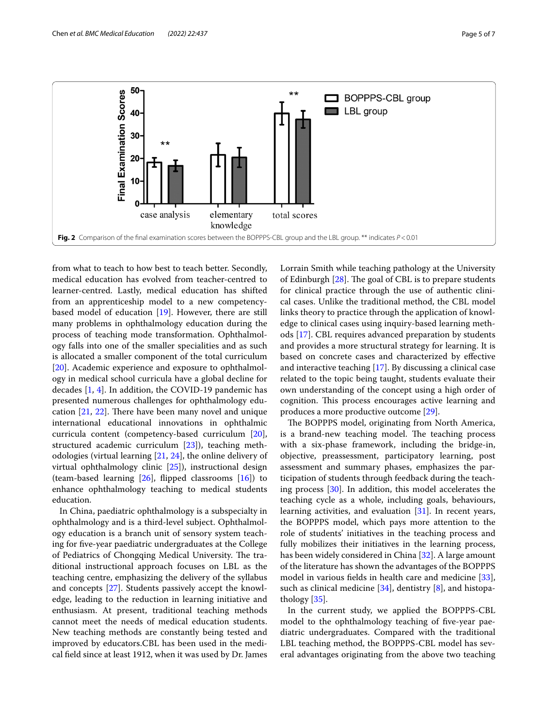

<span id="page-4-0"></span>from what to teach to how best to teach better. Secondly, medical education has evolved from teacher-centred to learner-centred. Lastly, medical education has shifted from an apprenticeship model to a new competencybased model of education [[19\]](#page-6-17). However, there are still many problems in ophthalmology education during the process of teaching mode transformation. Ophthalmology falls into one of the smaller specialities and as such is allocated a smaller component of the total curriculum [[20\]](#page-6-18). Academic experience and exposure to ophthalmology in medical school curricula have a global decline for decades [\[1](#page-6-0), [4](#page-6-3)]. In addition, the COVID-19 pandemic has presented numerous challenges for ophthalmology education  $[21, 22]$  $[21, 22]$  $[21, 22]$  $[21, 22]$ . There have been many novel and unique international educational innovations in ophthalmic curricula content (competency-based curriculum [\[20](#page-6-18)], structured academic curriculum [\[23](#page-6-21)]), teaching methodologies (virtual learning [[21](#page-6-19), [24](#page-6-22)], the online delivery of virtual ophthalmology clinic [\[25](#page-6-23)]), instructional design (team-based learning [\[26\]](#page-6-24), fipped classrooms [\[16\]](#page-6-14)) to enhance ophthalmology teaching to medical students education.

In China, paediatric ophthalmology is a subspecialty in ophthalmology and is a third-level subject. Ophthalmology education is a branch unit of sensory system teaching for fve-year paediatric undergraduates at the College of Pediatrics of Chongqing Medical University. The traditional instructional approach focuses on LBL as the teaching centre, emphasizing the delivery of the syllabus and concepts [\[27](#page-6-25)]. Students passively accept the knowledge, leading to the reduction in learning initiative and enthusiasm. At present, traditional teaching methods cannot meet the needs of medical education students. New teaching methods are constantly being tested and improved by educators.CBL has been used in the medical feld since at least 1912, when it was used by Dr. James Lorrain Smith while teaching pathology at the University of Edinburgh  $[28]$ . The goal of CBL is to prepare students for clinical practice through the use of authentic clinical cases. Unlike the traditional method, the CBL model links theory to practice through the application of knowledge to clinical cases using inquiry-based learning methods [[17\]](#page-6-15). CBL requires advanced preparation by students and provides a more structural strategy for learning. It is based on concrete cases and characterized by efective and interactive teaching [\[17\]](#page-6-15). By discussing a clinical case related to the topic being taught, students evaluate their own understanding of the concept using a high order of cognition. This process encourages active learning and produces a more productive outcome [\[29\]](#page-6-27).

The BOPPPS model, originating from North America, is a brand-new teaching model. The teaching process with a six-phase framework, including the bridge-in, objective, preassessment, participatory learning, post assessment and summary phases, emphasizes the participation of students through feedback during the teaching process [[30](#page-6-28)]. In addition, this model accelerates the teaching cycle as a whole, including goals, behaviours, learning activities, and evaluation [[31](#page-6-29)]. In recent years, the BOPPPS model, which pays more attention to the role of students' initiatives in the teaching process and fully mobilizes their initiatives in the learning process, has been widely considered in China [\[32](#page-6-30)]. A large amount of the literature has shown the advantages of the BOPPPS model in various felds in health care and medicine [\[33](#page-6-31)], such as clinical medicine  $[34]$  $[34]$ , dentistry  $[8]$  $[8]$ , and histopathology [\[35\]](#page-6-33).

In the current study, we applied the BOPPPS-CBL model to the ophthalmology teaching of fve-year paediatric undergraduates. Compared with the traditional LBL teaching method, the BOPPPS-CBL model has several advantages originating from the above two teaching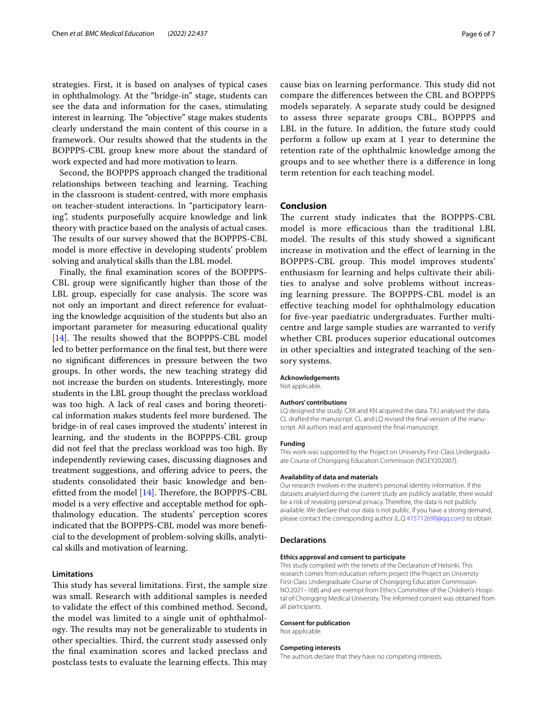strategies. First, it is based on analyses of typical cases in ophthalmology. At the "bridge-in" stage, students can see the data and information for the cases, stimulating interest in learning. The "objective" stage makes students clearly understand the main content of this course in a framework. Our results showed that the students in the BOPPPS-CBL group knew more about the standard of work expected and had more motivation to learn.

Second, the BOPPPS approach changed the traditional relationships between teaching and learning. Teaching in the classroom is student-centred, with more emphasis on teacher-student interactions. In "participatory learning", students purposefully acquire knowledge and link theory with practice based on the analysis of actual cases. The results of our survey showed that the BOPPPS-CBL model is more efective in developing students' problem solving and analytical skills than the LBL model.

Finally, the fnal examination scores of the BOPPPS-CBL group were signifcantly higher than those of the LBL group, especially for case analysis. The score was not only an important and direct reference for evaluating the knowledge acquisition of the students but also an important parameter for measuring educational quality [[14\]](#page-6-13). The results showed that the BOPPPS-CBL model led to better performance on the fnal test, but there were no signifcant diferences in pressure between the two groups. In other words, the new teaching strategy did not increase the burden on students. Interestingly, more students in the LBL group thought the preclass workload was too high. A lack of real cases and boring theoretical information makes students feel more burdened. The bridge-in of real cases improved the students' interest in learning, and the students in the BOPPPS-CBL group did not feel that the preclass workload was too high. By independently reviewing cases, discussing diagnoses and treatment suggestions, and ofering advice to peers, the students consolidated their basic knowledge and benefitted from the model  $[14]$  $[14]$ . Therefore, the BOPPPS-CBL model is a very efective and acceptable method for ophthalmology education. The students' perception scores indicated that the BOPPPS-CBL model was more benefcial to the development of problem-solving skills, analytical skills and motivation of learning.

### **Limitations**

This study has several limitations. First, the sample size was small. Research with additional samples is needed to validate the efect of this combined method. Second, the model was limited to a single unit of ophthalmology. The results may not be generalizable to students in other specialties. Third, the current study assessed only the fnal examination scores and lacked preclass and postclass tests to evaluate the learning effects. This may

cause bias on learning performance. This study did not compare the diferences between the CBL and BOPPPS models separately. A separate study could be designed to assess three separate groups CBL, BOPPPS and LBL in the future. In addition, the future study could perform a follow up exam at 1 year to determine the retention rate of the ophthalmic knowledge among the groups and to see whether there is a diference in long term retention for each teaching model.

### **Conclusion**

The current study indicates that the BOPPPS-CBL model is more efficacious than the traditional LBL model. The results of this study showed a significant increase in motivation and the efect of learning in the BOPPPS-CBL group. This model improves students' enthusiasm for learning and helps cultivate their abilities to analyse and solve problems without increasing learning pressure. The BOPPPS-CBL model is an efective teaching model for ophthalmology education for fve-year paediatric undergraduates. Further multicentre and large sample studies are warranted to verify whether CBL produces superior educational outcomes in other specialties and integrated teaching of the sensory systems.

#### **Acknowledgements**

Not applicable.

#### **Authors' contributions**

LQ designed the study. CXK and KN acquired the data. TXJ analysed the data. CL drafted the manuscript. CL and LQ revised the final version of the manuscript. All authors read and approved the fnal manuscript.

#### **Funding**

This work was supported by the Project on University First-Class Undergraduate Course of Chongqing Education Commission (NO.EY202007).

#### **Availability of data and materials**

Our research involves in the student's personal identity information. If the datasets analysed during the current study are publicly available, there would be a risk of revealing personal privacy. Therefore, the data is not publicly available. We declare that our data is not public. If you have a strong demand, please contact the corresponding author (L.Q<415712690@qq.com>) to obtain.

### **Declarations**

#### **Ethics approval and consent to participate**

This study complied with the tenets of the Declaration of Helsinki. This research comes from education reform project (the Project on University First-Class Undergraduate Course of Chongqing Education Commission NO.2021-168) and are exempt from Ethics Committee of the Children's Hospital of Chongqing Medical University. The informed consent was obtained from all participants.

#### **Consent for publication**

Not applicable.

#### **Competing interests**

The authors declare that they have no competing interests.